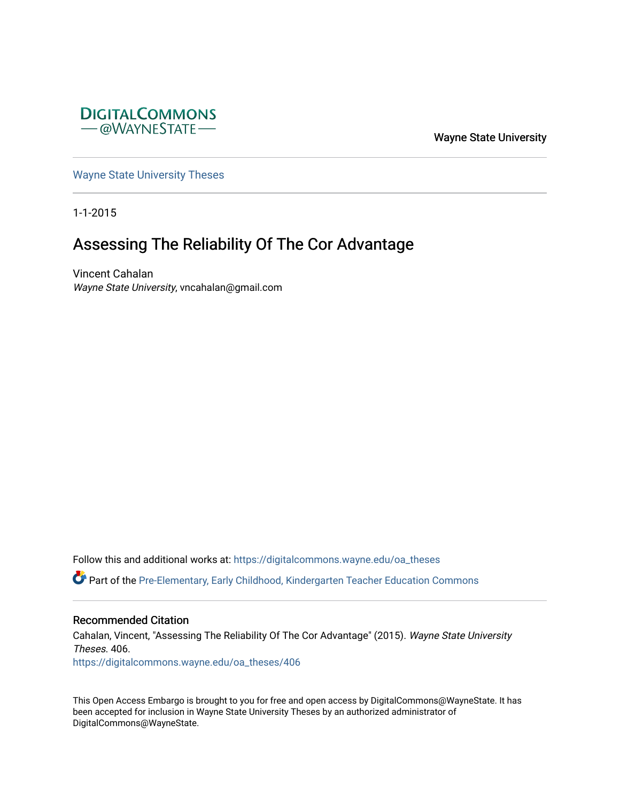

Wayne State University

[Wayne State University Theses](https://digitalcommons.wayne.edu/oa_theses) 

1-1-2015

# Assessing The Reliability Of The Cor Advantage

Vincent Cahalan Wayne State University, vncahalan@gmail.com

Follow this and additional works at: [https://digitalcommons.wayne.edu/oa\\_theses](https://digitalcommons.wayne.edu/oa_theses?utm_source=digitalcommons.wayne.edu%2Foa_theses%2F406&utm_medium=PDF&utm_campaign=PDFCoverPages) 

Part of the [Pre-Elementary, Early Childhood, Kindergarten Teacher Education Commons](http://network.bepress.com/hgg/discipline/808?utm_source=digitalcommons.wayne.edu%2Foa_theses%2F406&utm_medium=PDF&utm_campaign=PDFCoverPages) 

#### Recommended Citation

Cahalan, Vincent, "Assessing The Reliability Of The Cor Advantage" (2015). Wayne State University Theses. 406. [https://digitalcommons.wayne.edu/oa\\_theses/406](https://digitalcommons.wayne.edu/oa_theses/406?utm_source=digitalcommons.wayne.edu%2Foa_theses%2F406&utm_medium=PDF&utm_campaign=PDFCoverPages) 

This Open Access Embargo is brought to you for free and open access by DigitalCommons@WayneState. It has been accepted for inclusion in Wayne State University Theses by an authorized administrator of DigitalCommons@WayneState.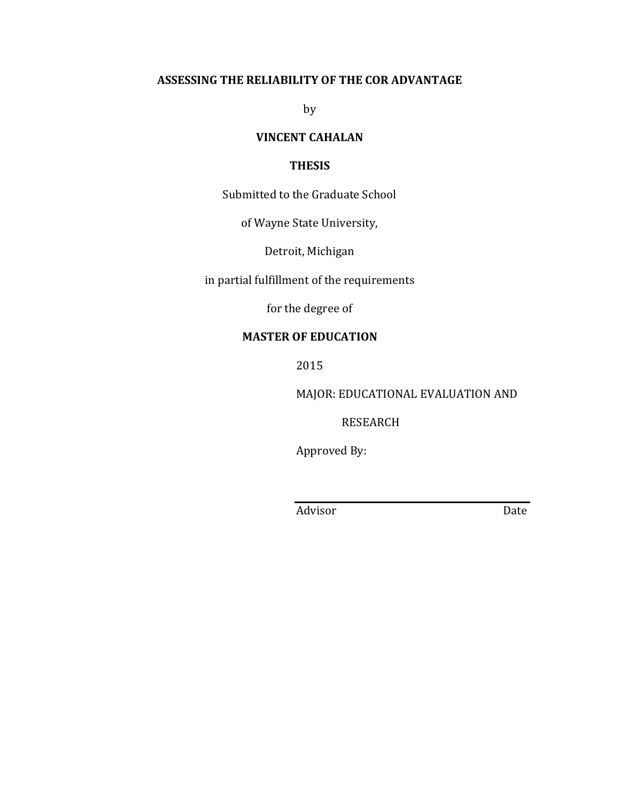## **ASSESSING THE RELIABILITY OF THE COR ADVANTAGE**

by

## **VINCENT CAHALAN**

## **THESIS**

Submitted to the Graduate School

of Wayne State University,

Detroit, Michigan

in partial fulfillment of the requirements

for the degree of

## **MASTER OF EDUCATION**

2015

MAJOR: EDUCATIONAL EVALUATION AND

RESEARCH

Approved By:

Advisor Date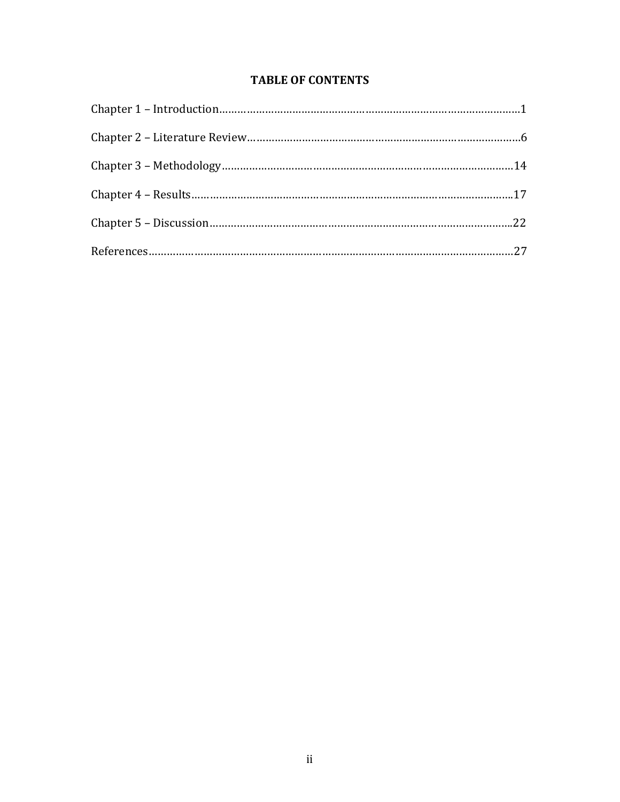## **TABLE OF CONTENTS**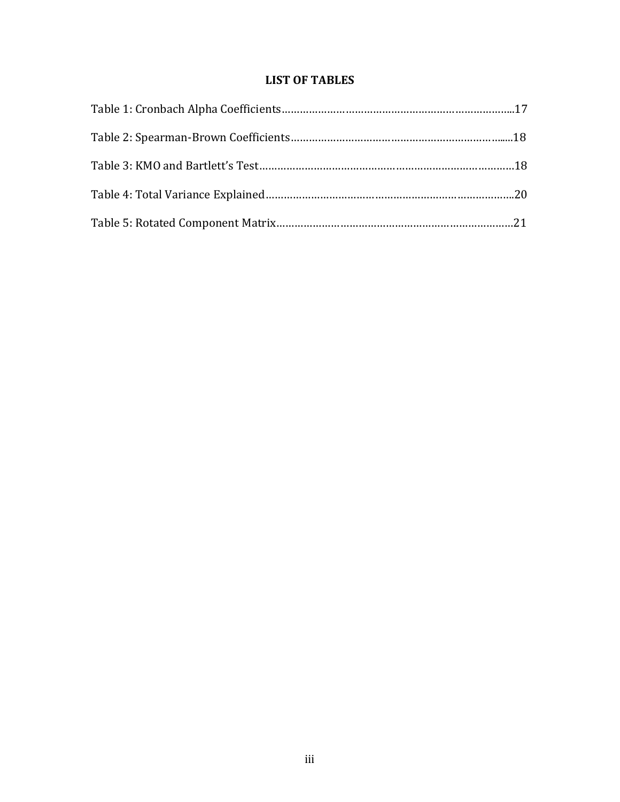## **LIST OF TABLES**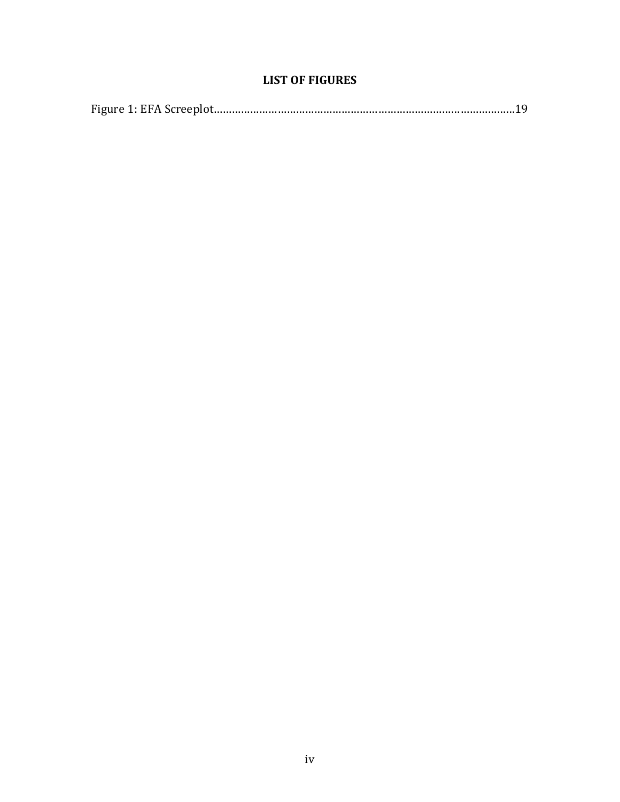## **LIST OF FIGURES**

|--|--|--|--|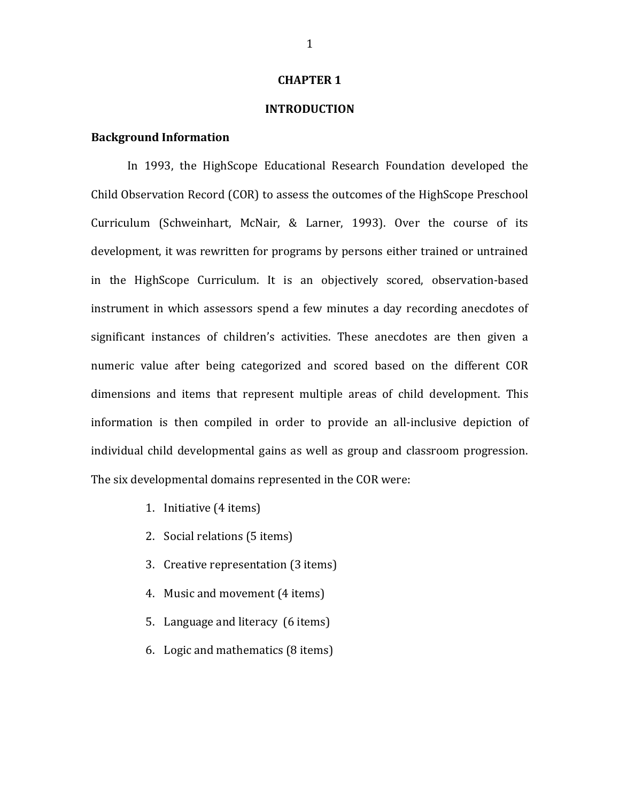## **CHAPTER 1**

## **INTRODUCTION**

## **Background Information**

In 1993, the HighScope Educational Research Foundation developed the Child Observation Record (COR) to assess the outcomes of the HighScope Preschool Curriculum (Schweinhart, McNair, & Larner, 1993). Over the course of its development, it was rewritten for programs by persons either trained or untrained in the HighScope Curriculum. It is an objectively scored, observation-based instrument in which assessors spend a few minutes a day recording anecdotes of significant instances of children's activities. These anecdotes are then given a numeric value after being categorized and scored based on the different COR dimensions and items that represent multiple areas of child development. This information is then compiled in order to provide an all-inclusive depiction of individual child developmental gains as well as group and classroom progression. The six developmental domains represented in the COR were:

- 1. Initiative (4 items)
- 2. Social relations (5 items)
- 3. Creative representation (3 items)
- 4. Music and movement (4 items)
- 5. Language and literacy (6 items)
- 6. Logic and mathematics (8 items)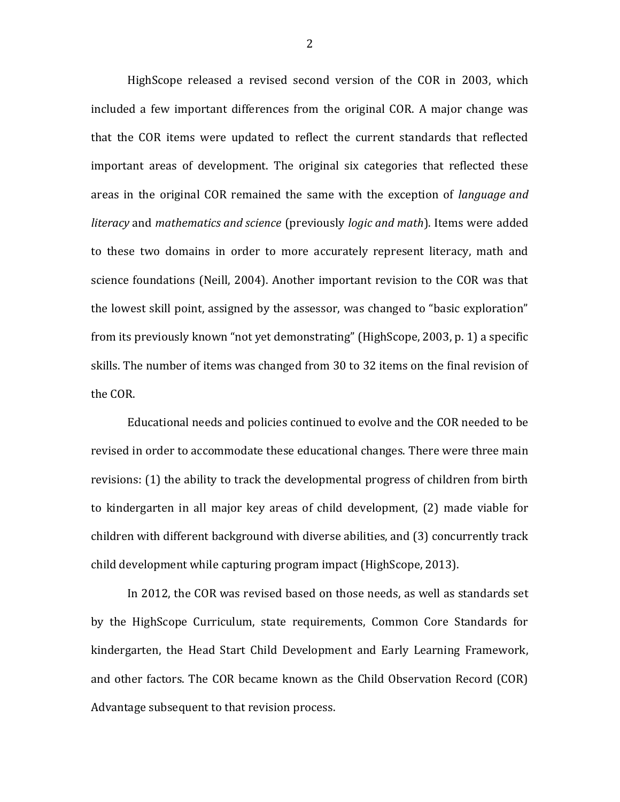HighScope released a revised second version of the COR in 2003, which included a few important differences from the original COR. A major change was that the COR items were updated to reflect the current standards that reflected important areas of development. The original six categories that reflected these areas in the original COR remained the same with the exception of *language and literacy* and *mathematics and science* (previously *logic and math*). Items were added to these two domains in order to more accurately represent literacy, math and science foundations (Neill, 2004). Another important revision to the COR was that the lowest skill point, assigned by the assessor, was changed to "basic exploration" from its previously known "not yet demonstrating" (HighScope, 2003, p. 1) a specific skills. The number of items was changed from 30 to 32 items on the final revision of the COR.

Educational needs and policies continued to evolve and the COR needed to be revised in order to accommodate these educational changes. There were three main revisions: (1) the ability to track the developmental progress of children from birth to kindergarten in all major key areas of child development, (2) made viable for children with different background with diverse abilities, and (3) concurrently track child development while capturing program impact (HighScope, 2013).

In 2012, the COR was revised based on those needs, as well as standards set by the HighScope Curriculum, state requirements, Common Core Standards for kindergarten, the Head Start Child Development and Early Learning Framework, and other factors. The COR became known as the Child Observation Record (COR) Advantage subsequent to that revision process.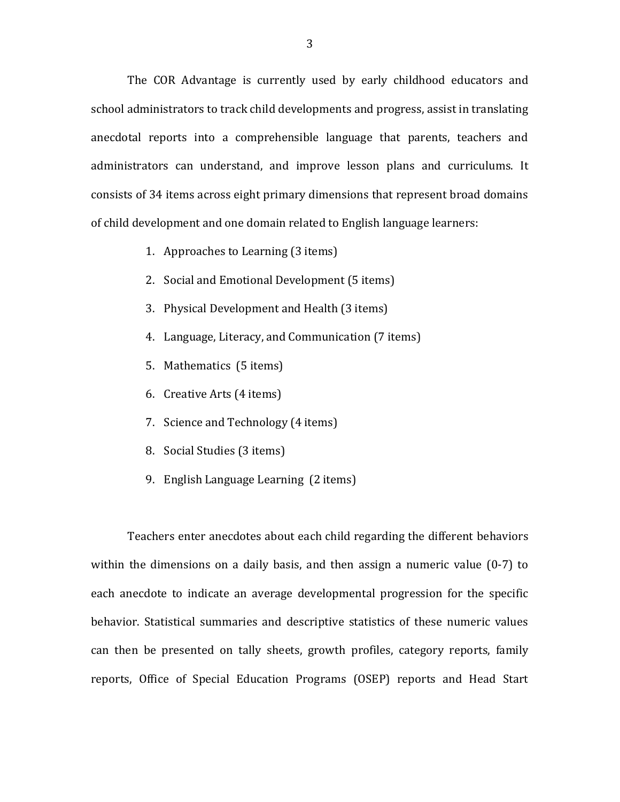The COR Advantage is currently used by early childhood educators and school administrators to track child developments and progress, assist in translating anecdotal reports into a comprehensible language that parents, teachers and administrators can understand, and improve lesson plans and curriculums. It consists of 34 items across eight primary dimensions that represent broad domains of child development and one domain related to English language learners:

- 1. Approaches to Learning (3 items)
- 2. Social and Emotional Development (5 items)
- 3. Physical Development and Health (3 items)
- 4. Language, Literacy, and Communication (7 items)
- 5. Mathematics (5 items)
- 6. Creative Arts (4 items)
- 7. Science and Technology (4 items)
- 8. Social Studies (3 items)
- 9. English Language Learning (2 items)

Teachers enter anecdotes about each child regarding the different behaviors within the dimensions on a daily basis, and then assign a numeric value (0-7) to each anecdote to indicate an average developmental progression for the specific behavior. Statistical summaries and descriptive statistics of these numeric values can then be presented on tally sheets, growth profiles, category reports, family reports, Office of Special Education Programs (OSEP) reports and Head Start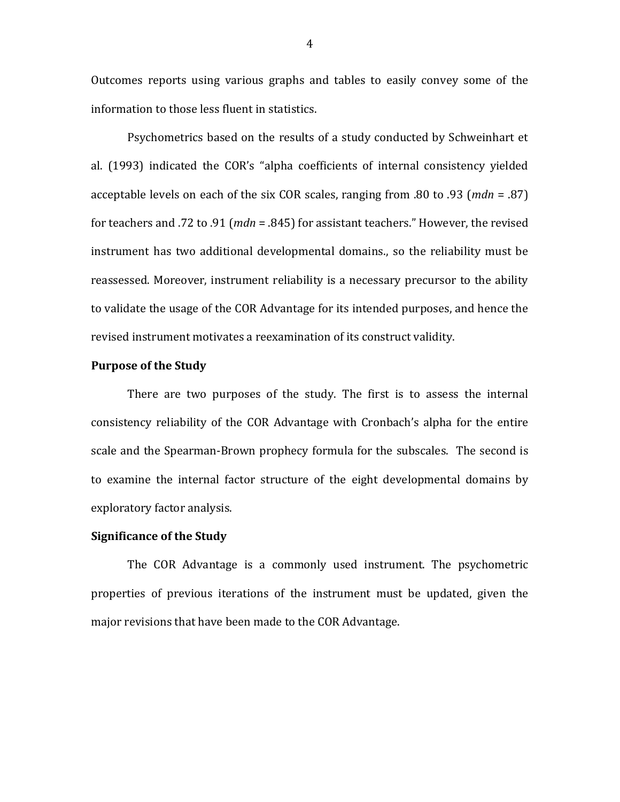Outcomes reports using various graphs and tables to easily convey some of the information to those less fluent in statistics.

Psychometrics based on the results of a study conducted by Schweinhart et al. (1993) indicated the COR's "alpha coefficients of internal consistency yielded acceptable levels on each of the six COR scales, ranging from .80 to .93 (*mdn* = .87) for teachers and .72 to .91 (*mdn* = .845) for assistant teachers." However, the revised instrument has two additional developmental domains., so the reliability must be reassessed. Moreover, instrument reliability is a necessary precursor to the ability to validate the usage of the COR Advantage for its intended purposes, and hence the revised instrument motivates a reexamination of its construct validity.

## **Purpose of the Study**

There are two purposes of the study. The first is to assess the internal consistency reliability of the COR Advantage with Cronbach's alpha for the entire scale and the Spearman-Brown prophecy formula for the subscales. The second is to examine the internal factor structure of the eight developmental domains by exploratory factor analysis.

## **Significance of the Study**

The COR Advantage is a commonly used instrument. The psychometric properties of previous iterations of the instrument must be updated, given the major revisions that have been made to the COR Advantage.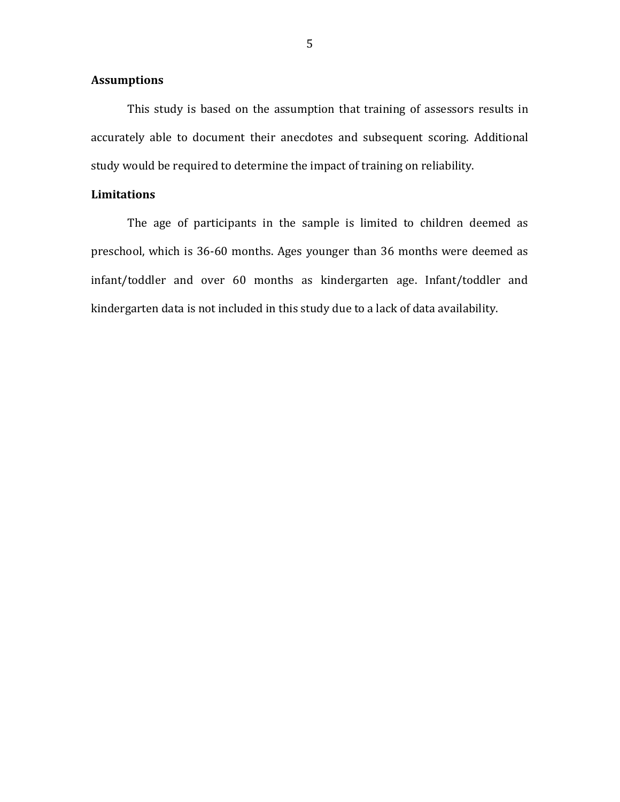## **Assumptions**

This study is based on the assumption that training of assessors results in accurately able to document their anecdotes and subsequent scoring. Additional study would be required to determine the impact of training on reliability.

## **Limitations**

The age of participants in the sample is limited to children deemed as preschool, which is 36-60 months. Ages younger than 36 months were deemed as infant/toddler and over 60 months as kindergarten age. Infant/toddler and kindergarten data is not included in this study due to a lack of data availability.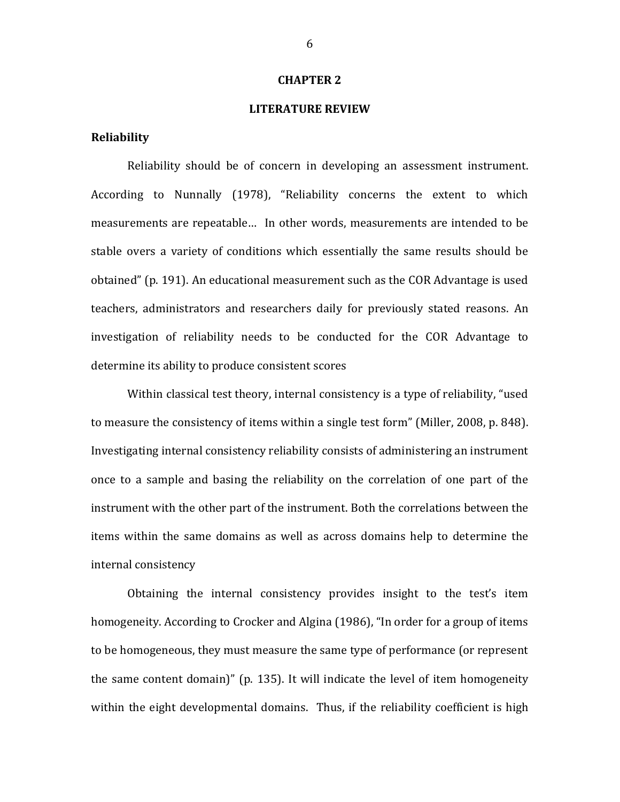### **CHAPTER 2**

## **LITERATURE REVIEW**

#### **Reliability**

Reliability should be of concern in developing an assessment instrument. According to Nunnally (1978), "Reliability concerns the extent to which measurements are repeatable… In other words, measurements are intended to be stable overs a variety of conditions which essentially the same results should be obtained" (p. 191). An educational measurement such as the COR Advantage is used teachers, administrators and researchers daily for previously stated reasons. An investigation of reliability needs to be conducted for the COR Advantage to determine its ability to produce consistent scores

Within classical test theory, internal consistency is a type of reliability, "used to measure the consistency of items within a single test form" (Miller, 2008, p. 848). Investigating internal consistency reliability consists of administering an instrument once to a sample and basing the reliability on the correlation of one part of the instrument with the other part of the instrument. Both the correlations between the items within the same domains as well as across domains help to determine the internal consistency

Obtaining the internal consistency provides insight to the test's item homogeneity. According to Crocker and Algina (1986), "In order for a group of items to be homogeneous, they must measure the same type of performance (or represent the same content domain)" (p. 135). It will indicate the level of item homogeneity within the eight developmental domains. Thus, if the reliability coefficient is high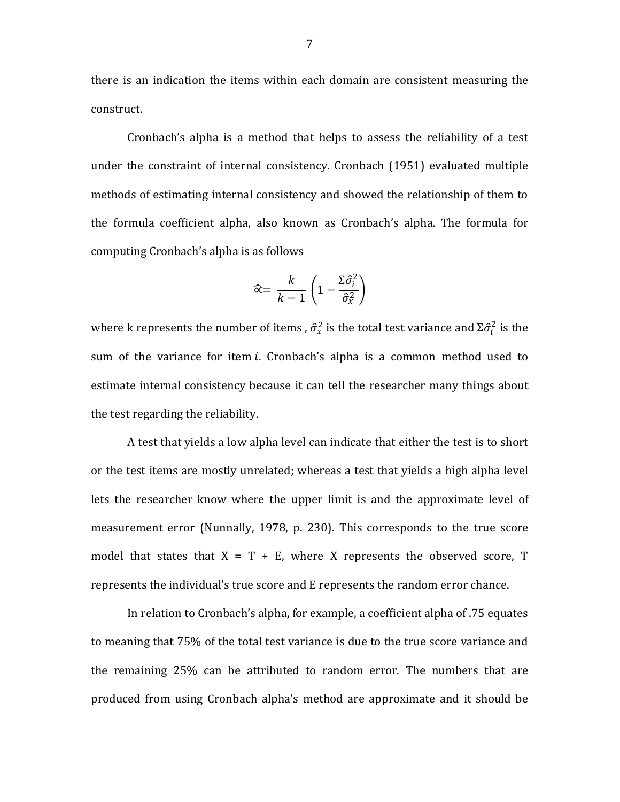there is an indication the items within each domain are consistent measuring the construct.

Cronbach's alpha is a method that helps to assess the reliability of a test under the constraint of internal consistency. Cronbach (1951) evaluated multiple methods of estimating internal consistency and showed the relationship of them to the formula coefficient alpha, also known as Cronbach's alpha. The formula for computing Cronbach's alpha is as follows

$$
\widehat{\alpha} = \frac{k}{k-1} \left( 1 - \frac{\Sigma \widehat{\sigma}_i^2}{\widehat{\sigma}_x^2} \right)
$$

where k represents the number of items ,  $\hat{\sigma}_x^2$  is the total test variance and  $\Sigma \hat{\sigma}_i^2$  is the sum of the variance for item  $i$ . Cronbach's alpha is a common method used to estimate internal consistency because it can tell the researcher many things about the test regarding the reliability.

A test that yields a low alpha level can indicate that either the test is to short or the test items are mostly unrelated; whereas a test that yields a high alpha level lets the researcher know where the upper limit is and the approximate level of measurement error (Nunnally, 1978, p. 230). This corresponds to the true score model that states that  $X = T + E$ , where X represents the observed score, T represents the individual's true score and E represents the random error chance.

In relation to Cronbach's alpha, for example, a coefficient alpha of .75 equates to meaning that 75% of the total test variance is due to the true score variance and the remaining 25% can be attributed to random error. The numbers that are produced from using Cronbach alpha's method are approximate and it should be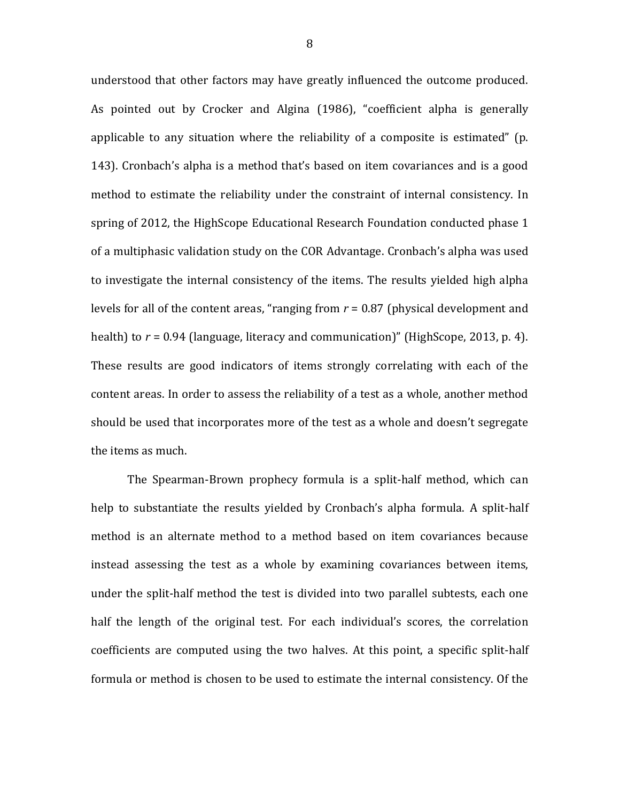understood that other factors may have greatly influenced the outcome produced. As pointed out by Crocker and Algina (1986), "coefficient alpha is generally applicable to any situation where the reliability of a composite is estimated" (p. 143). Cronbach's alpha is a method that's based on item covariances and is a good method to estimate the reliability under the constraint of internal consistency. In spring of 2012, the HighScope Educational Research Foundation conducted phase 1 of a multiphasic validation study on the COR Advantage. Cronbach's alpha was used to investigate the internal consistency of the items. The results yielded high alpha levels for all of the content areas, "ranging from *r* = 0.87 (physical development and health) to *r* = 0.94 (language, literacy and communication)" (HighScope, 2013, p. 4). These results are good indicators of items strongly correlating with each of the content areas. In order to assess the reliability of a test as a whole, another method should be used that incorporates more of the test as a whole and doesn't segregate the items as much.

The Spearman-Brown prophecy formula is a split-half method, which can help to substantiate the results yielded by Cronbach's alpha formula. A split-half method is an alternate method to a method based on item covariances because instead assessing the test as a whole by examining covariances between items, under the split-half method the test is divided into two parallel subtests, each one half the length of the original test. For each individual's scores, the correlation coefficients are computed using the two halves. At this point, a specific split-half formula or method is chosen to be used to estimate the internal consistency. Of the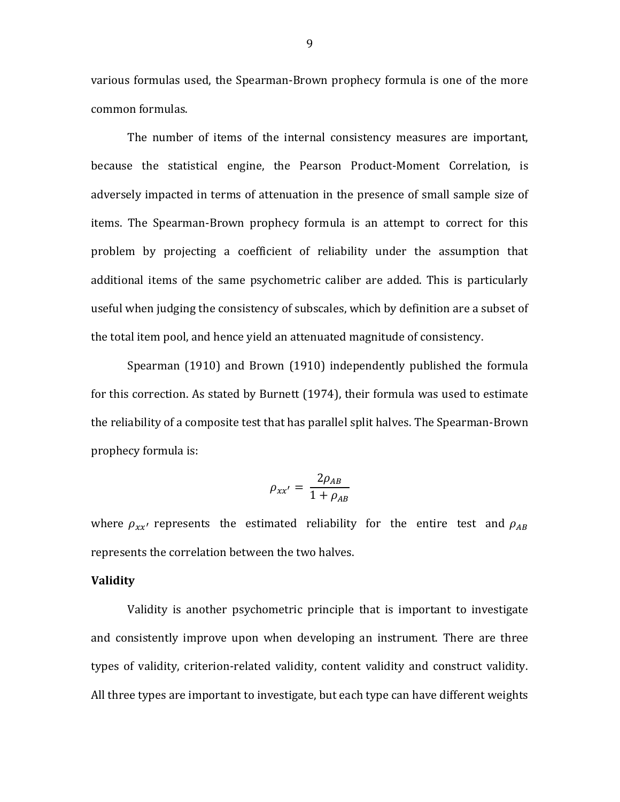various formulas used, the Spearman-Brown prophecy formula is one of the more common formulas.

The number of items of the internal consistency measures are important, because the statistical engine, the Pearson Product-Moment Correlation, is adversely impacted in terms of attenuation in the presence of small sample size of items. The Spearman-Brown prophecy formula is an attempt to correct for this problem by projecting a coefficient of reliability under the assumption that additional items of the same psychometric caliber are added. This is particularly useful when judging the consistency of subscales, which by definition are a subset of the total item pool, and hence yield an attenuated magnitude of consistency.

Spearman (1910) and Brown (1910) independently published the formula for this correction. As stated by Burnett (1974), their formula was used to estimate the reliability of a composite test that has parallel split halves. The Spearman-Brown prophecy formula is:

$$
\rho_{xx'}=\frac{2\rho_{AB}}{1+\rho_{AB}}
$$

where  $\rho_{rr}$  represents the estimated reliability for the entire test and  $\rho_{AB}$ represents the correlation between the two halves.

## **Validity**

Validity is another psychometric principle that is important to investigate and consistently improve upon when developing an instrument. There are three types of validity, criterion-related validity, content validity and construct validity. All three types are important to investigate, but each type can have different weights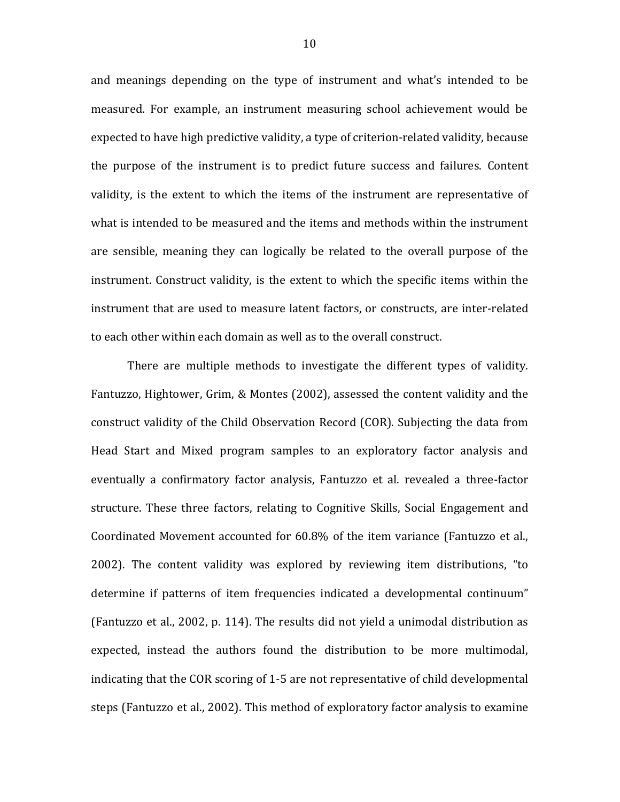and meanings depending on the type of instrument and what's intended to be measured. For example, an instrument measuring school achievement would be expected to have high predictive validity, a type of criterion-related validity, because the purpose of the instrument is to predict future success and failures. Content validity, is the extent to which the items of the instrument are representative of what is intended to be measured and the items and methods within the instrument are sensible, meaning they can logically be related to the overall purpose of the instrument. Construct validity, is the extent to which the specific items within the instrument that are used to measure latent factors, or constructs, are inter-related to each other within each domain as well as to the overall construct.

There are multiple methods to investigate the different types of validity. Fantuzzo, Hightower, Grim, & Montes (2002), assessed the content validity and the construct validity of the Child Observation Record (COR). Subjecting the data from Head Start and Mixed program samples to an exploratory factor analysis and eventually a confirmatory factor analysis, Fantuzzo et al. revealed a three-factor structure. These three factors, relating to Cognitive Skills, Social Engagement and Coordinated Movement accounted for 60.8% of the item variance (Fantuzzo et al., 2002). The content validity was explored by reviewing item distributions, "to determine if patterns of item frequencies indicated a developmental continuum" (Fantuzzo et al., 2002, p. 114). The results did not yield a unimodal distribution as expected, instead the authors found the distribution to be more multimodal, indicating that the COR scoring of 1-5 are not representative of child developmental steps (Fantuzzo et al., 2002). This method of exploratory factor analysis to examine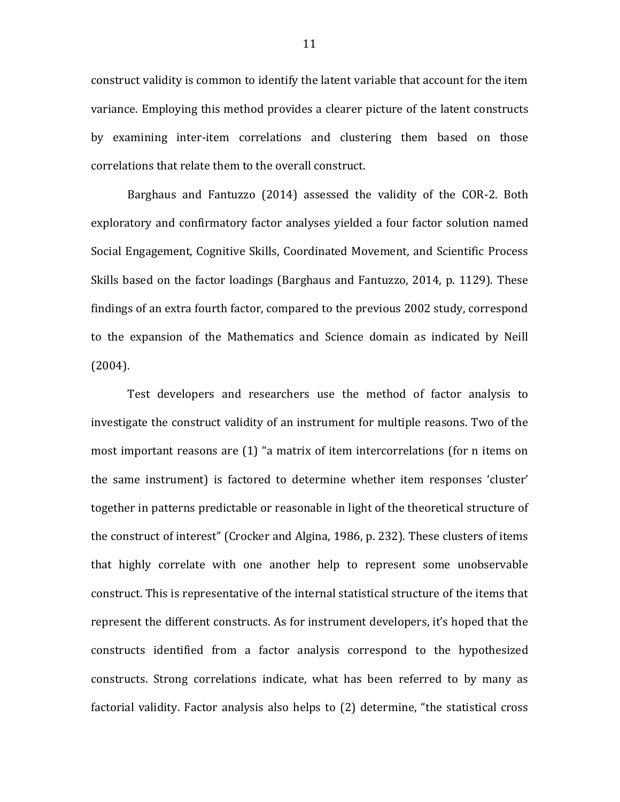construct validity is common to identify the latent variable that account for the item variance. Employing this method provides a clearer picture of the latent constructs by examining inter-item correlations and clustering them based on those correlations that relate them to the overall construct.

Barghaus and Fantuzzo (2014) assessed the validity of the COR-2. Both exploratory and confirmatory factor analyses yielded a four factor solution named Social Engagement, Cognitive Skills, Coordinated Movement, and Scientific Process Skills based on the factor loadings (Barghaus and Fantuzzo, 2014, p. 1129). These findings of an extra fourth factor, compared to the previous 2002 study, correspond to the expansion of the Mathematics and Science domain as indicated by Neill (2004).

Test developers and researchers use the method of factor analysis to investigate the construct validity of an instrument for multiple reasons. Two of the most important reasons are (1) "a matrix of item intercorrelations (for n items on the same instrument) is factored to determine whether item responses 'cluster' together in patterns predictable or reasonable in light of the theoretical structure of the construct of interest" (Crocker and Algina, 1986, p. 232). These clusters of items that highly correlate with one another help to represent some unobservable construct. This is representative of the internal statistical structure of the items that represent the different constructs. As for instrument developers, it's hoped that the constructs identified from a factor analysis correspond to the hypothesized constructs. Strong correlations indicate, what has been referred to by many as factorial validity. Factor analysis also helps to (2) determine, "the statistical cross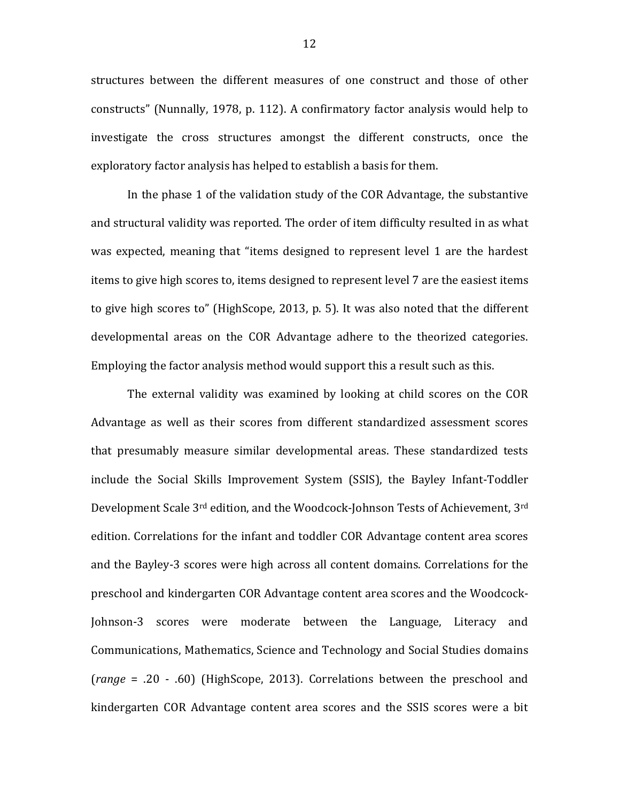structures between the different measures of one construct and those of other constructs" (Nunnally, 1978, p. 112). A confirmatory factor analysis would help to investigate the cross structures amongst the different constructs, once the exploratory factor analysis has helped to establish a basis for them.

In the phase 1 of the validation study of the COR Advantage, the substantive and structural validity was reported. The order of item difficulty resulted in as what was expected, meaning that "items designed to represent level 1 are the hardest items to give high scores to, items designed to represent level 7 are the easiest items to give high scores to" (HighScope, 2013, p. 5). It was also noted that the different developmental areas on the COR Advantage adhere to the theorized categories. Employing the factor analysis method would support this a result such as this.

The external validity was examined by looking at child scores on the COR Advantage as well as their scores from different standardized assessment scores that presumably measure similar developmental areas. These standardized tests include the Social Skills Improvement System (SSIS), the Bayley Infant-Toddler Development Scale 3rd edition, and the Woodcock-Johnson Tests of Achievement, 3rd edition. Correlations for the infant and toddler COR Advantage content area scores and the Bayley-3 scores were high across all content domains. Correlations for the preschool and kindergarten COR Advantage content area scores and the Woodcock-Johnson-3 scores were moderate between the Language, Literacy and Communications, Mathematics, Science and Technology and Social Studies domains (*range* = .20 - .60) (HighScope, 2013). Correlations between the preschool and kindergarten COR Advantage content area scores and the SSIS scores were a bit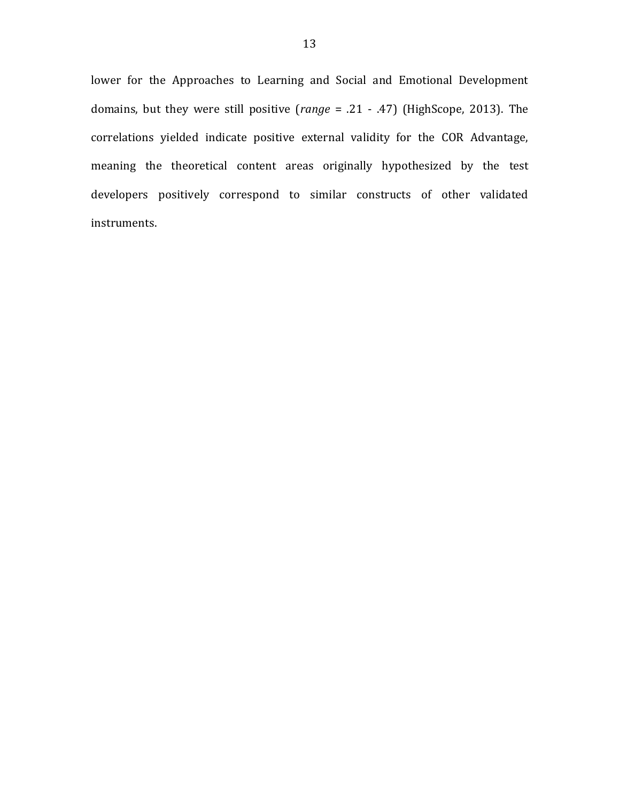lower for the Approaches to Learning and Social and Emotional Development domains, but they were still positive (*range* = .21 - .47) (HighScope, 2013). The correlations yielded indicate positive external validity for the COR Advantage, meaning the theoretical content areas originally hypothesized by the test developers positively correspond to similar constructs of other validated instruments.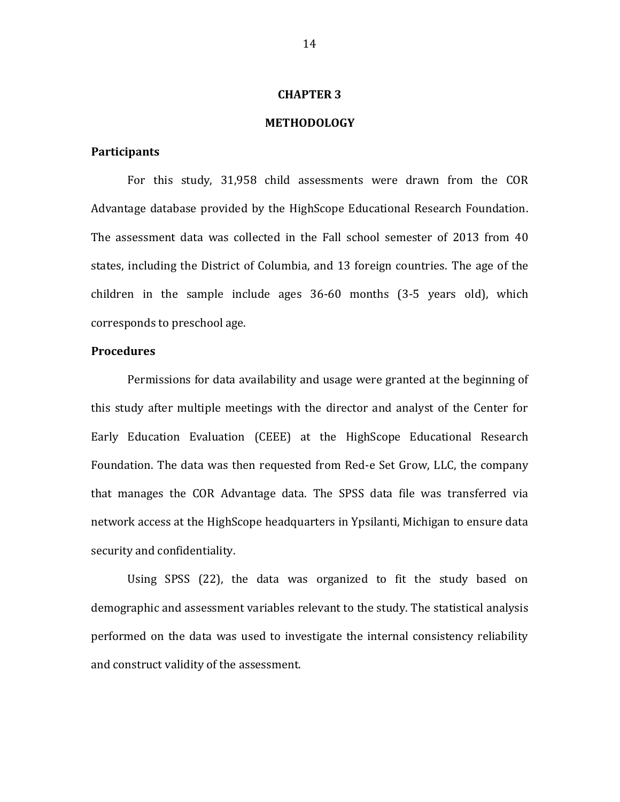### **CHAPTER 3**

## **METHODOLOGY**

## **Participants**

For this study, 31,958 child assessments were drawn from the COR Advantage database provided by the HighScope Educational Research Foundation. The assessment data was collected in the Fall school semester of 2013 from 40 states, including the District of Columbia, and 13 foreign countries. The age of the children in the sample include ages 36-60 months (3-5 years old), which corresponds to preschool age.

## **Procedures**

Permissions for data availability and usage were granted at the beginning of this study after multiple meetings with the director and analyst of the Center for Early Education Evaluation (CEEE) at the HighScope Educational Research Foundation. The data was then requested from Red-e Set Grow, LLC, the company that manages the COR Advantage data. The SPSS data file was transferred via network access at the HighScope headquarters in Ypsilanti, Michigan to ensure data security and confidentiality.

Using SPSS (22), the data was organized to fit the study based on demographic and assessment variables relevant to the study. The statistical analysis performed on the data was used to investigate the internal consistency reliability and construct validity of the assessment.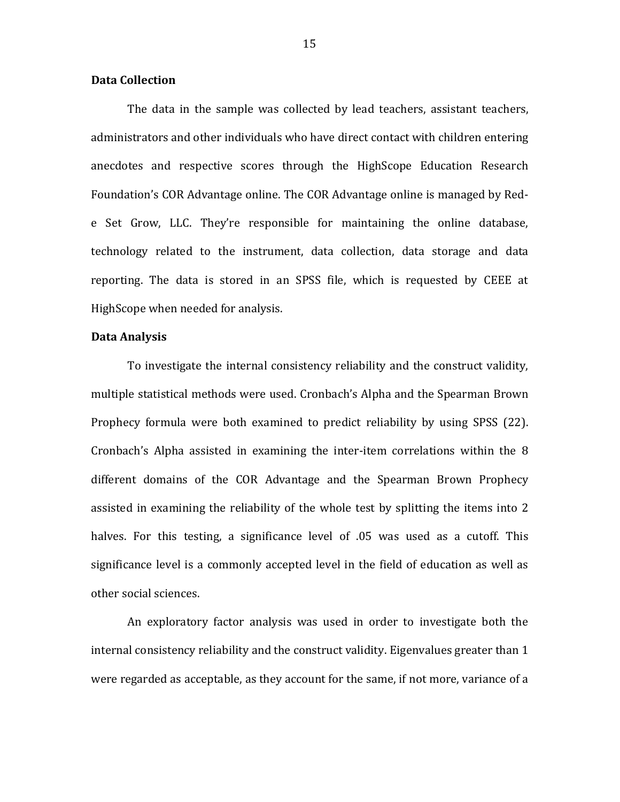## **Data Collection**

The data in the sample was collected by lead teachers, assistant teachers, administrators and other individuals who have direct contact with children entering anecdotes and respective scores through the HighScope Education Research Foundation's COR Advantage online. The COR Advantage online is managed by Rede Set Grow, LLC. They're responsible for maintaining the online database, technology related to the instrument, data collection, data storage and data reporting. The data is stored in an SPSS file, which is requested by CEEE at HighScope when needed for analysis.

### **Data Analysis**

To investigate the internal consistency reliability and the construct validity, multiple statistical methods were used. Cronbach's Alpha and the Spearman Brown Prophecy formula were both examined to predict reliability by using SPSS (22). Cronbach's Alpha assisted in examining the inter-item correlations within the 8 different domains of the COR Advantage and the Spearman Brown Prophecy assisted in examining the reliability of the whole test by splitting the items into 2 halves. For this testing, a significance level of .05 was used as a cutoff. This significance level is a commonly accepted level in the field of education as well as other social sciences.

An exploratory factor analysis was used in order to investigate both the internal consistency reliability and the construct validity. Eigenvalues greater than 1 were regarded as acceptable, as they account for the same, if not more, variance of a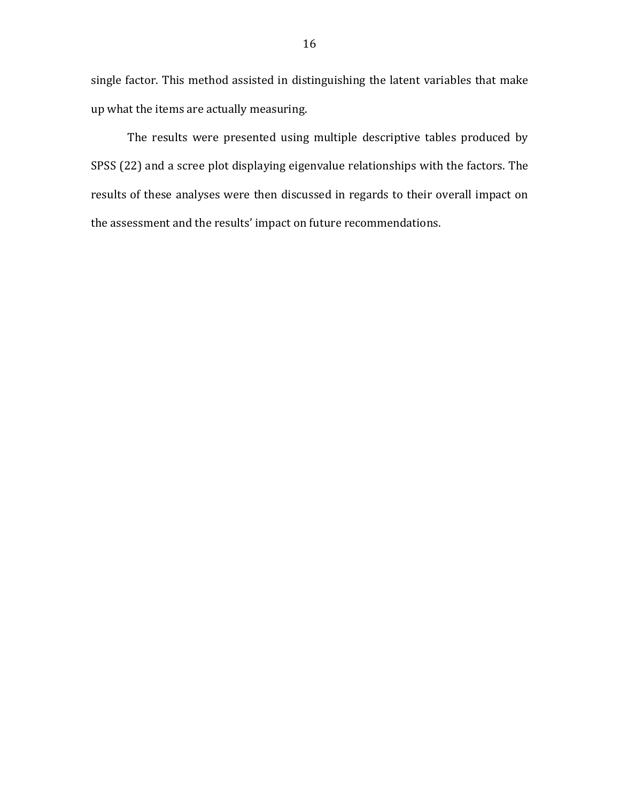single factor. This method assisted in distinguishing the latent variables that make up what the items are actually measuring.

The results were presented using multiple descriptive tables produced by SPSS (22) and a scree plot displaying eigenvalue relationships with the factors. The results of these analyses were then discussed in regards to their overall impact on the assessment and the results' impact on future recommendations.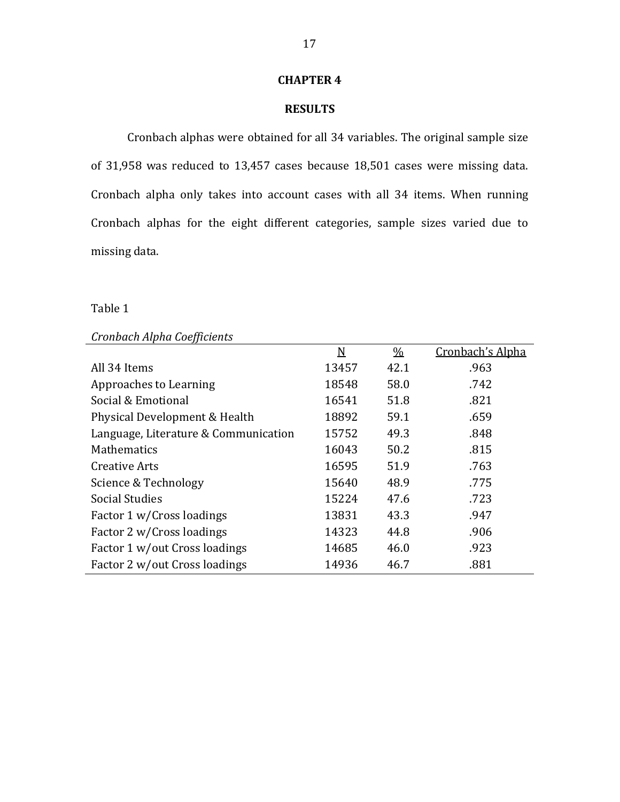## **CHAPTER 4**

## **RESULTS**

Cronbach alphas were obtained for all 34 variables. The original sample size of 31,958 was reduced to 13,457 cases because 18,501 cases were missing data. Cronbach alpha only takes into account cases with all 34 items. When running Cronbach alphas for the eight different categories, sample sizes varied due to missing data.

## Table 1

## *Cronbach Alpha Coefficients*

|                                      | N     | $\frac{0}{0}$ | Cronbach's Alpha |
|--------------------------------------|-------|---------------|------------------|
| All 34 Items                         | 13457 | 42.1          | .963             |
| Approaches to Learning               | 18548 | 58.0          | .742             |
| Social & Emotional                   | 16541 | 51.8          | .821             |
| Physical Development & Health        | 18892 | 59.1          | .659             |
| Language, Literature & Communication | 15752 | 49.3          | .848             |
| <b>Mathematics</b>                   | 16043 | 50.2          | .815             |
| Creative Arts                        | 16595 | 51.9          | .763             |
| Science & Technology                 | 15640 | 48.9          | .775             |
| <b>Social Studies</b>                | 15224 | 47.6          | .723             |
| Factor 1 w/Cross loadings            | 13831 | 43.3          | .947             |
| Factor 2 w/Cross loadings            | 14323 | 44.8          | .906             |
| Factor 1 w/out Cross loadings        | 14685 | 46.0          | .923             |
| Factor 2 w/out Cross loadings        | 14936 | 46.7          | .881             |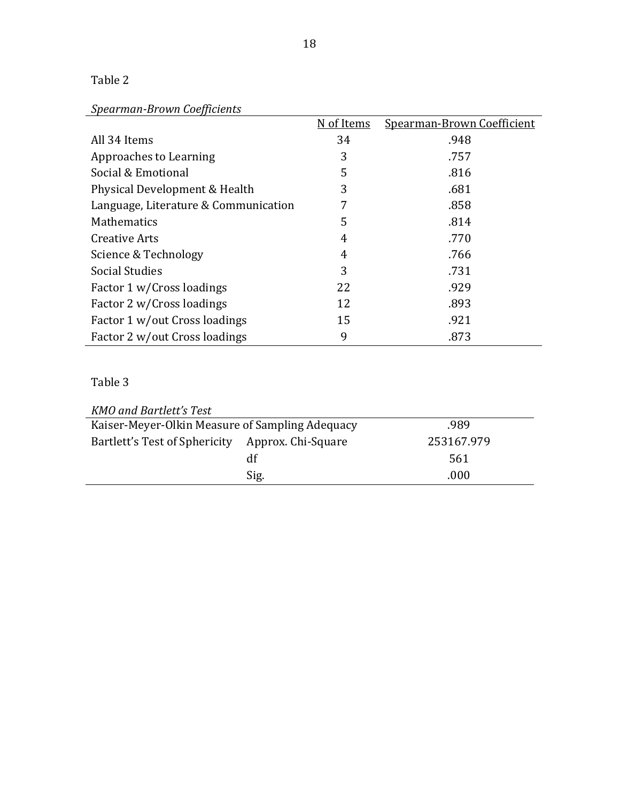## Table 2

# *Spearman-Brown Coefficients*

|                                      | N of Items | Spearman-Brown Coefficient |
|--------------------------------------|------------|----------------------------|
| All 34 Items                         | 34         | .948                       |
| Approaches to Learning               | 3          | .757                       |
| Social & Emotional                   | 5          | .816                       |
| Physical Development & Health        | 3          | .681                       |
| Language, Literature & Communication | 7          | .858                       |
| <b>Mathematics</b>                   | 5          | .814                       |
| Creative Arts                        | 4          | .770                       |
| Science & Technology                 | 4          | .766                       |
| Social Studies                       | 3          | .731                       |
| Factor 1 w/Cross loadings            | 22         | .929                       |
| Factor 2 w/Cross loadings            | 12         | .893                       |
| Factor 1 w/out Cross loadings        | 15         | .921                       |
| Factor 2 w/out Cross loadings        | 9          | .873                       |

# Table 3

| <b>KMO</b> and Bartlett's Test                  |                    |            |
|-------------------------------------------------|--------------------|------------|
| Kaiser-Meyer-Olkin Measure of Sampling Adequacy | .989               |            |
| Bartlett's Test of Sphericity                   | Approx. Chi-Square | 253167.979 |
|                                                 | df                 | 561        |
|                                                 | Sig.               | .000       |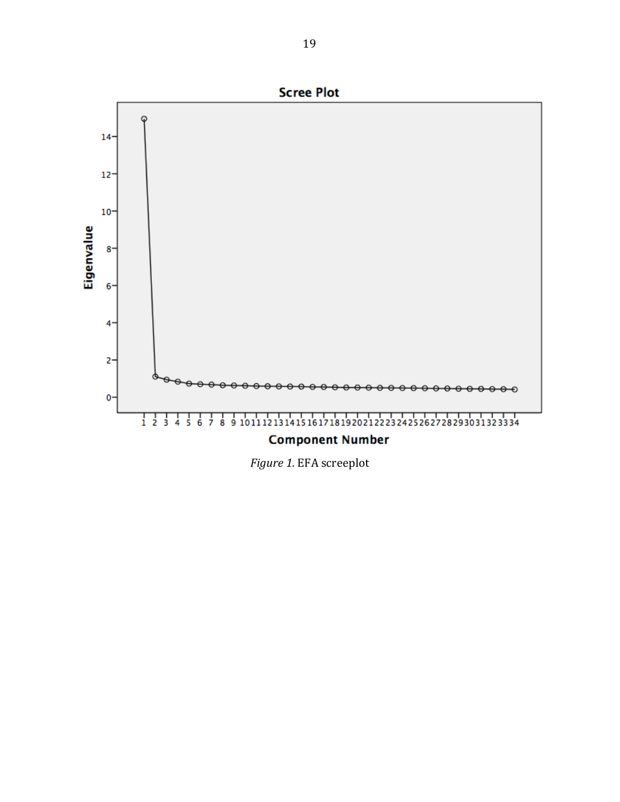

*Figure 1.* EFA screeplot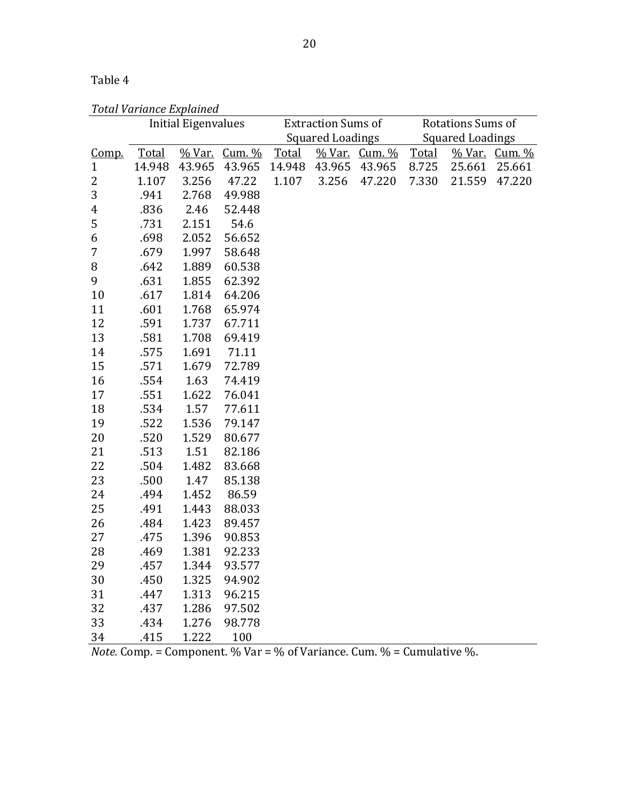# Table 4

| <b>Total Variance Explained</b> |
|---------------------------------|
|---------------------------------|

|                         | TULUI VUTIURUL LAPIURULU | Initial Eigenvalues |                      | <b>Extraction Sums of</b> |       | Rotations Sums of       |       |        |                      |
|-------------------------|--------------------------|---------------------|----------------------|---------------------------|-------|-------------------------|-------|--------|----------------------|
|                         |                          |                     |                      | Squared Loadings          |       | <b>Squared Loadings</b> |       |        |                      |
| <u>Comp.</u>            | <b>Total</b>             |                     | <u>% Var. Cum. %</u> | Total                     |       | <u>% Var. Cum. %</u>    | Total |        | <u>% Var. Cum. %</u> |
| $\mathbf{1}$            | 14.948                   | 43.965              | 43.965               | 14.948                    |       | 43.965 43.965           | 8.725 | 25.661 | 25.661               |
| 2                       | 1.107                    | 3.256               | 47.22                | 1.107                     | 3.256 | 47.220                  | 7.330 | 21.559 | 47.220               |
| $\sqrt{3}$              | .941                     | 2.768               | 49.988               |                           |       |                         |       |        |                      |
| $\overline{\mathbf{r}}$ | .836                     | 2.46                | 52.448               |                           |       |                         |       |        |                      |
| 5                       | .731                     | 2.151               | 54.6                 |                           |       |                         |       |        |                      |
| 6                       | .698                     | 2.052               | 56.652               |                           |       |                         |       |        |                      |
| $\overline{7}$          | .679                     | 1.997               | 58.648               |                           |       |                         |       |        |                      |
| $\, 8$                  | .642                     | 1.889               | 60.538               |                           |       |                         |       |        |                      |
| 9                       | .631                     | 1.855               | 62.392               |                           |       |                         |       |        |                      |
| 10                      | .617                     | 1.814               | 64.206               |                           |       |                         |       |        |                      |
| 11                      | .601                     | 1.768               | 65.974               |                           |       |                         |       |        |                      |
| 12                      | .591                     | 1.737               | 67.711               |                           |       |                         |       |        |                      |
| 13                      | .581                     | 1.708               | 69.419               |                           |       |                         |       |        |                      |
| 14                      | .575                     | 1.691               | 71.11                |                           |       |                         |       |        |                      |
| 15                      | .571                     | 1.679               | 72.789               |                           |       |                         |       |        |                      |
| 16                      | .554                     | 1.63                | 74.419               |                           |       |                         |       |        |                      |
| 17                      | .551                     | 1.622               | 76.041               |                           |       |                         |       |        |                      |
| 18                      | .534                     | 1.57                | 77.611               |                           |       |                         |       |        |                      |
| 19                      | .522                     | 1.536               | 79.147               |                           |       |                         |       |        |                      |
| 20                      | .520                     | 1.529               | 80.677               |                           |       |                         |       |        |                      |
| 21                      | .513                     | 1.51                | 82.186               |                           |       |                         |       |        |                      |
| 22                      | .504                     | 1.482               | 83.668               |                           |       |                         |       |        |                      |
| 23                      | .500                     | 1.47                | 85.138               |                           |       |                         |       |        |                      |
| 24                      | .494                     | 1.452               | 86.59                |                           |       |                         |       |        |                      |
| 25                      | .491                     | 1.443               | 88.033               |                           |       |                         |       |        |                      |
| 26                      | .484                     | 1.423               | 89.457               |                           |       |                         |       |        |                      |
| 27                      | .475                     | 1.396               | 90.853               |                           |       |                         |       |        |                      |
| 28                      | .469                     | 1.381               | 92.233               |                           |       |                         |       |        |                      |
| 29                      | .457                     | 1.344               | 93.577               |                           |       |                         |       |        |                      |
| 30                      | .450                     | 1.325               | 94.902               |                           |       |                         |       |        |                      |
| 31                      | .447                     | 1.313               | 96.215               |                           |       |                         |       |        |                      |
| 32                      | .437                     | 1.286               | 97.502               |                           |       |                         |       |        |                      |
| 33                      | .434                     | 1.276               | 98.778               |                           |       |                         |       |        |                      |
| 34                      | .415                     | 1.222               | 100                  |                           |       |                         |       |        |                      |

*Note.* Comp. = Component. % Var = % of Variance. Cum. % = Cumulative %.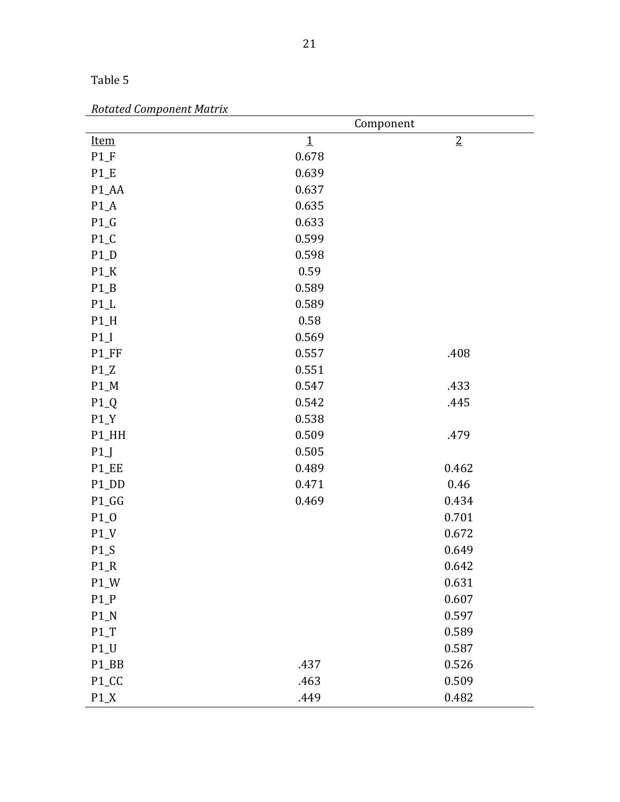| Table 5 |  |
|---------|--|
|         |  |

| <b>Rotated Component Matrix</b> |  |  |  |
|---------------------------------|--|--|--|
|---------------------------------|--|--|--|

|             |             | Component      |
|-------------|-------------|----------------|
| <b>Item</b> | $\mathbf 1$ | $\overline{2}$ |
| $P1_F$      | 0.678       |                |
| $P1_E$      | 0.639       |                |
| P1_AA       | 0.637       |                |
| $P1_A$      | 0.635       |                |
| $P1_G$      | 0.633       |                |
| $P1_C$      | 0.599       |                |
| $P1_D$      | 0.598       |                |
| $P1_K$      | 0.59        |                |
| $P1_B$      | 0.589       |                |
| $P1_L$      | 0.589       |                |
| $P1_H$      | 0.58        |                |
| $P1_I$      | 0.569       |                |
| P1_FF       | 0.557       | .408           |
| $P1_Z$      | 0.551       |                |
| $P1_M$      | 0.547       | .433           |
| $P1_Q$      | 0.542       | .445           |
| $P1_Y$      | 0.538       |                |
| P1_HH       | 0.509       | .479           |
| P1          | 0.505       |                |
| P1_EE       | 0.489       | 0.462          |
| P1_DD       | 0.471       | 0.46           |
| P1_GG       | 0.469       | 0.434          |
| $P1_0$      |             | 0.701          |
| $P1_V$      |             | 0.672          |
| $P1_S$      |             | 0.649          |
| $P1_R$      |             | 0.642          |
| $P1_W$      |             | 0.631          |
| $P1_P$      |             | 0.607          |
| $P1_N$      |             | 0.597          |
| $P1_T$      |             | 0.589          |
| $P1_U$      |             | 0.587          |
| P1_BB       | .437        | 0.526          |
| P1_CC       | .463        | 0.509          |
| $P1_X$      | .449        | 0.482          |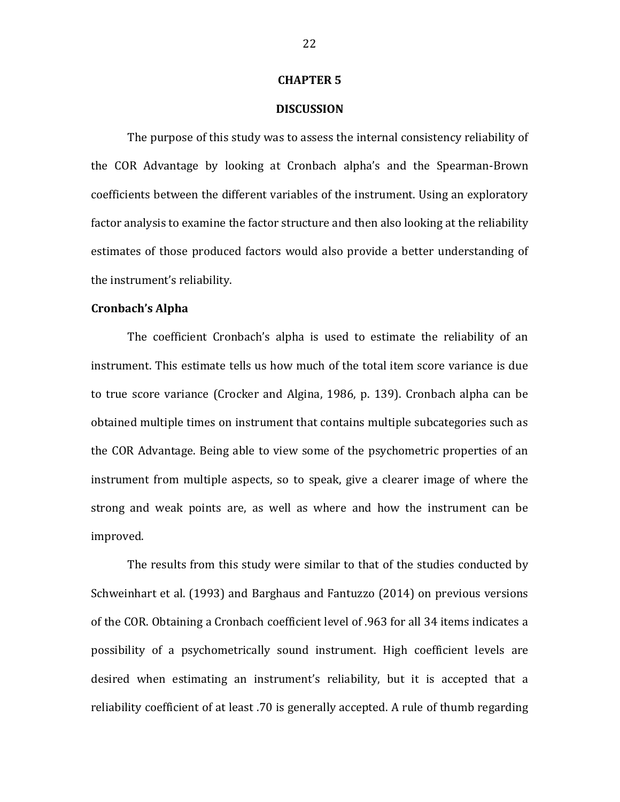#### **CHAPTER 5**

## **DISCUSSION**

The purpose of this study was to assess the internal consistency reliability of the COR Advantage by looking at Cronbach alpha's and the Spearman-Brown coefficients between the different variables of the instrument. Using an exploratory factor analysis to examine the factor structure and then also looking at the reliability estimates of those produced factors would also provide a better understanding of the instrument's reliability.

#### **Cronbach's Alpha**

The coefficient Cronbach's alpha is used to estimate the reliability of an instrument. This estimate tells us how much of the total item score variance is due to true score variance (Crocker and Algina, 1986, p. 139). Cronbach alpha can be obtained multiple times on instrument that contains multiple subcategories such as the COR Advantage. Being able to view some of the psychometric properties of an instrument from multiple aspects, so to speak, give a clearer image of where the strong and weak points are, as well as where and how the instrument can be improved.

The results from this study were similar to that of the studies conducted by Schweinhart et al. (1993) and Barghaus and Fantuzzo (2014) on previous versions of the COR. Obtaining a Cronbach coefficient level of .963 for all 34 items indicates a possibility of a psychometrically sound instrument. High coefficient levels are desired when estimating an instrument's reliability, but it is accepted that a reliability coefficient of at least .70 is generally accepted. A rule of thumb regarding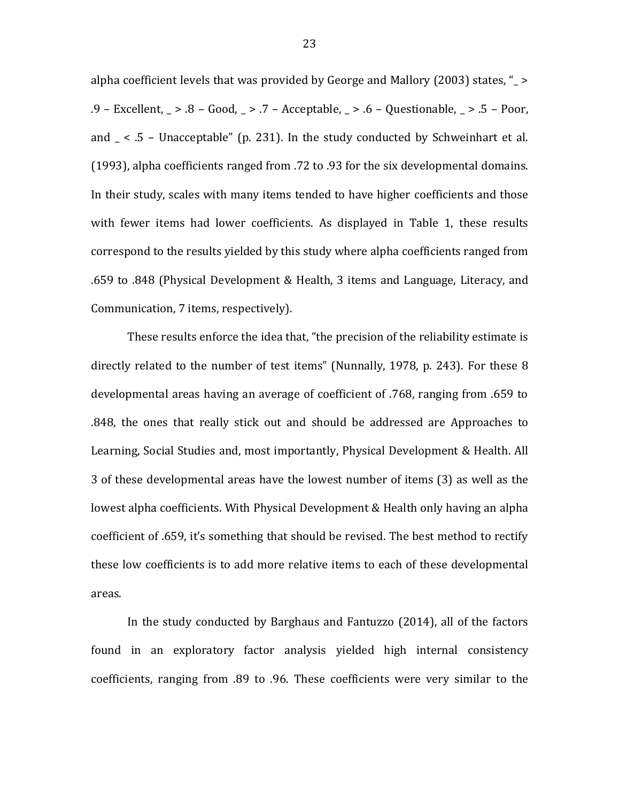alpha coefficient levels that was provided by George and Mallory (2003) states, "\_ > .9 – Excellent, \_ > .8 – Good, \_ > .7 – Acceptable, \_ > .6 – Questionable, \_ > .5 – Poor, and  $\leq$  .5 – Unacceptable" (p. 231). In the study conducted by Schweinhart et al. (1993), alpha coefficients ranged from .72 to .93 for the six developmental domains. In their study, scales with many items tended to have higher coefficients and those with fewer items had lower coefficients. As displayed in Table 1, these results correspond to the results yielded by this study where alpha coefficients ranged from .659 to .848 (Physical Development & Health, 3 items and Language, Literacy, and Communication, 7 items, respectively).

These results enforce the idea that, "the precision of the reliability estimate is directly related to the number of test items" (Nunnally, 1978, p. 243). For these 8 developmental areas having an average of coefficient of .768, ranging from .659 to .848, the ones that really stick out and should be addressed are Approaches to Learning, Social Studies and, most importantly, Physical Development & Health. All 3 of these developmental areas have the lowest number of items (3) as well as the lowest alpha coefficients. With Physical Development & Health only having an alpha coefficient of .659, it's something that should be revised. The best method to rectify these low coefficients is to add more relative items to each of these developmental areas.

In the study conducted by Barghaus and Fantuzzo (2014), all of the factors found in an exploratory factor analysis yielded high internal consistency coefficients, ranging from .89 to .96. These coefficients were very similar to the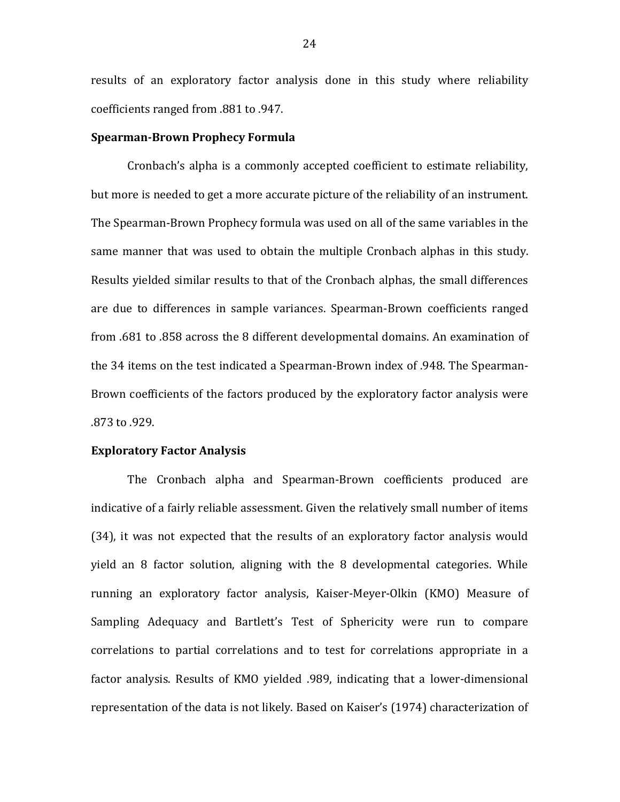results of an exploratory factor analysis done in this study where reliability coefficients ranged from .881 to .947.

#### **Spearman-Brown Prophecy Formula**

Cronbach's alpha is a commonly accepted coefficient to estimate reliability, but more is needed to get a more accurate picture of the reliability of an instrument. The Spearman-Brown Prophecy formula was used on all of the same variables in the same manner that was used to obtain the multiple Cronbach alphas in this study. Results yielded similar results to that of the Cronbach alphas, the small differences are due to differences in sample variances. Spearman-Brown coefficients ranged from .681 to .858 across the 8 different developmental domains. An examination of the 34 items on the test indicated a Spearman-Brown index of .948. The Spearman-Brown coefficients of the factors produced by the exploratory factor analysis were .873 to .929.

### **Exploratory Factor Analysis**

The Cronbach alpha and Spearman-Brown coefficients produced are indicative of a fairly reliable assessment. Given the relatively small number of items (34), it was not expected that the results of an exploratory factor analysis would yield an 8 factor solution, aligning with the 8 developmental categories. While running an exploratory factor analysis, Kaiser-Meyer-Olkin (KMO) Measure of Sampling Adequacy and Bartlett's Test of Sphericity were run to compare correlations to partial correlations and to test for correlations appropriate in a factor analysis. Results of KMO yielded .989, indicating that a lower-dimensional representation of the data is not likely. Based on Kaiser's (1974) characterization of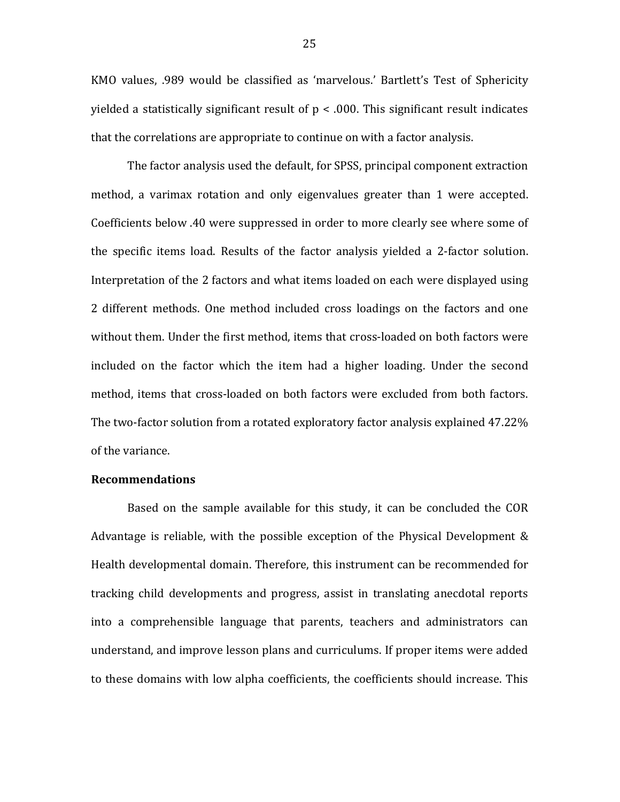KMO values, .989 would be classified as 'marvelous.' Bartlett's Test of Sphericity yielded a statistically significant result of  $p < .000$ . This significant result indicates that the correlations are appropriate to continue on with a factor analysis.

The factor analysis used the default, for SPSS, principal component extraction method, a varimax rotation and only eigenvalues greater than 1 were accepted. Coefficients below .40 were suppressed in order to more clearly see where some of the specific items load. Results of the factor analysis yielded a 2-factor solution. Interpretation of the 2 factors and what items loaded on each were displayed using 2 different methods. One method included cross loadings on the factors and one without them. Under the first method, items that cross-loaded on both factors were included on the factor which the item had a higher loading. Under the second method, items that cross-loaded on both factors were excluded from both factors. The two-factor solution from a rotated exploratory factor analysis explained 47.22% of the variance.

## **Recommendations**

Based on the sample available for this study, it can be concluded the COR Advantage is reliable, with the possible exception of the Physical Development & Health developmental domain. Therefore, this instrument can be recommended for tracking child developments and progress, assist in translating anecdotal reports into a comprehensible language that parents, teachers and administrators can understand, and improve lesson plans and curriculums. If proper items were added to these domains with low alpha coefficients, the coefficients should increase. This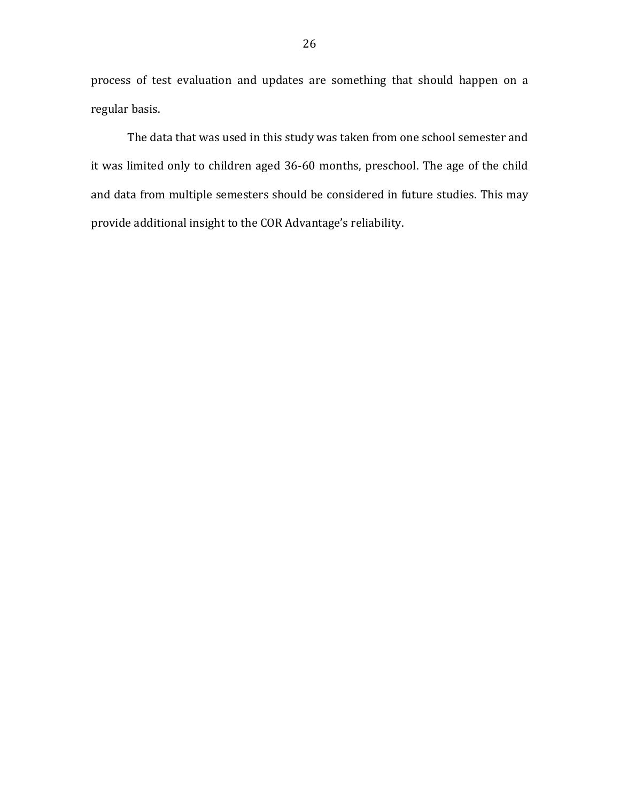process of test evaluation and updates are something that should happen on a regular basis.

The data that was used in this study was taken from one school semester and it was limited only to children aged 36-60 months, preschool. The age of the child and data from multiple semesters should be considered in future studies. This may provide additional insight to the COR Advantage's reliability.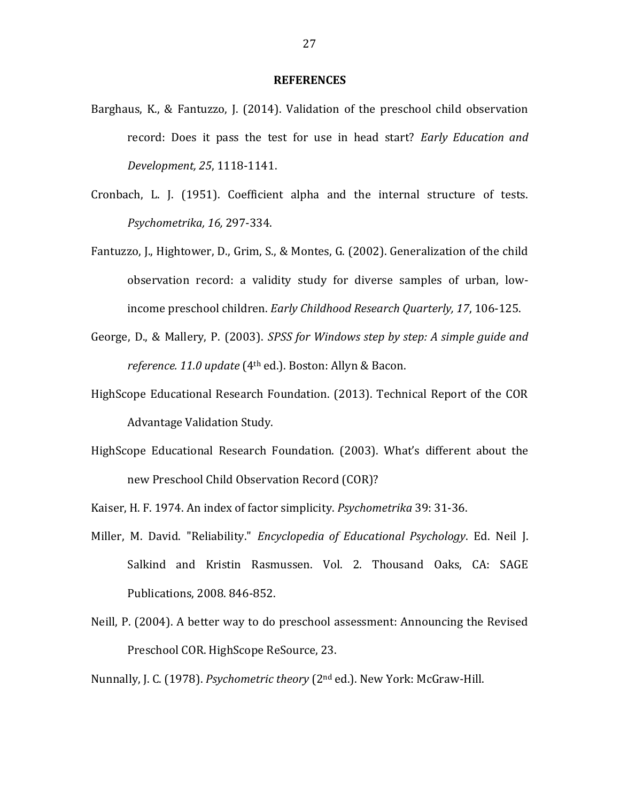#### **REFERENCES**

- Barghaus, K., & Fantuzzo, J. (2014). Validation of the preschool child observation record: Does it pass the test for use in head start? *Early Education and Development, 25*, 1118-1141.
- Cronbach, L. J. (1951). Coefficient alpha and the internal structure of tests. *Psychometrika, 16,* 297-334.
- Fantuzzo, J., Hightower, D., Grim, S., & Montes, G. (2002). Generalization of the child observation record: a validity study for diverse samples of urban, lowincome preschool children. *Early Childhood Research Quarterly, 17*, 106-125.
- George, D., & Mallery, P. (2003). *SPSS for Windows step by step: A simple guide and reference. 11.0 update* (4th ed.). Boston: Allyn & Bacon.
- HighScope Educational Research Foundation. (2013). Technical Report of the COR Advantage Validation Study.
- HighScope Educational Research Foundation. (2003). What's different about the new Preschool Child Observation Record (COR)?
- Kaiser, H. F. 1974. An index of factor simplicity. *Psychometrika* 39: 31-36.
- Miller, M. David. "Reliability." *Encyclopedia of Educational Psychology*. Ed. Neil J. Salkind and Kristin Rasmussen. Vol. 2. Thousand Oaks, CA: SAGE Publications, 2008. 846-852.
- Neill, P. (2004). A better way to do preschool assessment: Announcing the Revised Preschool COR. HighScope ReSource, 23.

Nunnally, J. C. (1978). *Psychometric theory* (2nd ed.). New York: McGraw-Hill.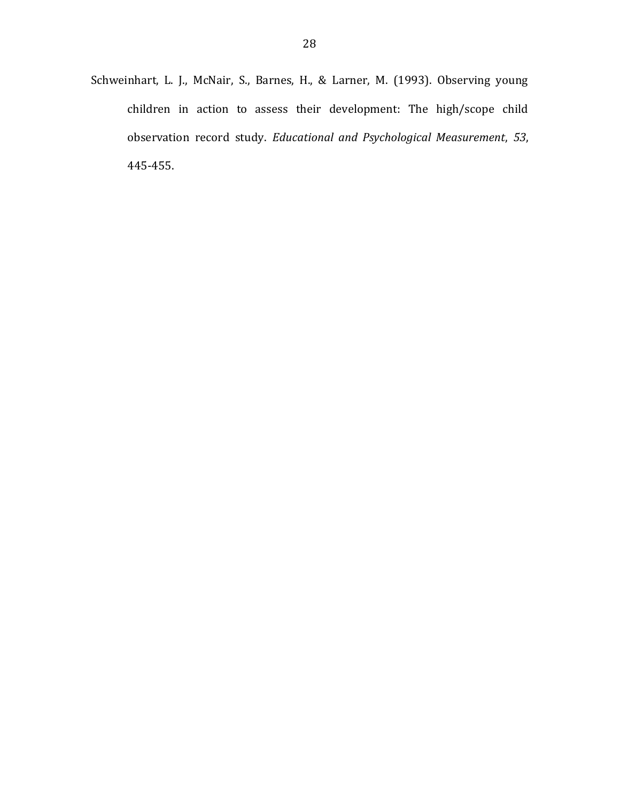Schweinhart, L. J., McNair, S., Barnes, H., & Larner, M. (1993). Observing young children in action to assess their development: The high/scope child observation record study. *Educational and Psychological Measurement*, *53*, 445-455.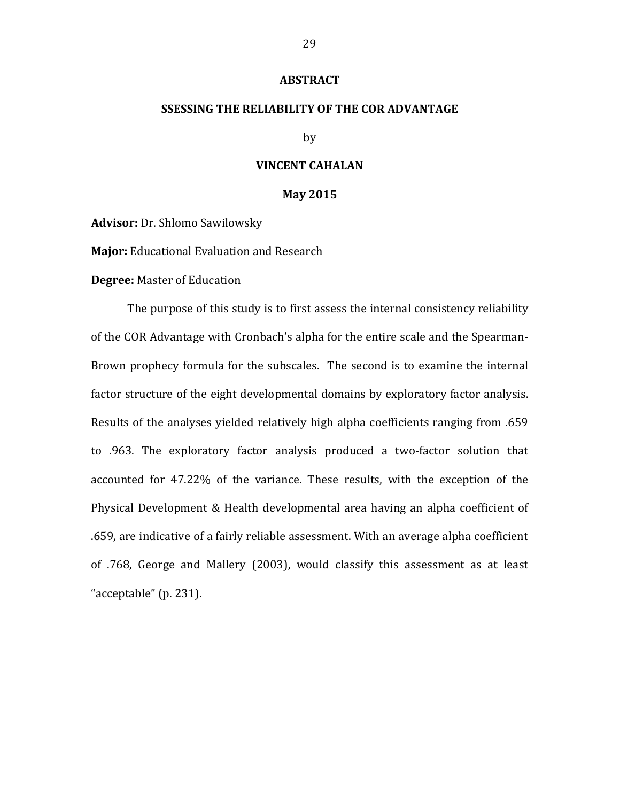#### **ABSTRACT**

## **SSESSING THE RELIABILITY OF THE COR ADVANTAGE**

by

## **VINCENT CAHALAN**

#### **May 2015**

**Advisor:** Dr. Shlomo Sawilowsky

**Major:** Educational Evaluation and Research

**Degree:** Master of Education

The purpose of this study is to first assess the internal consistency reliability of the COR Advantage with Cronbach's alpha for the entire scale and the Spearman-Brown prophecy formula for the subscales. The second is to examine the internal factor structure of the eight developmental domains by exploratory factor analysis. Results of the analyses yielded relatively high alpha coefficients ranging from .659 to .963. The exploratory factor analysis produced a two-factor solution that accounted for 47.22% of the variance. These results, with the exception of the Physical Development & Health developmental area having an alpha coefficient of .659, are indicative of a fairly reliable assessment. With an average alpha coefficient of .768, George and Mallery (2003), would classify this assessment as at least "acceptable" (p. 231).